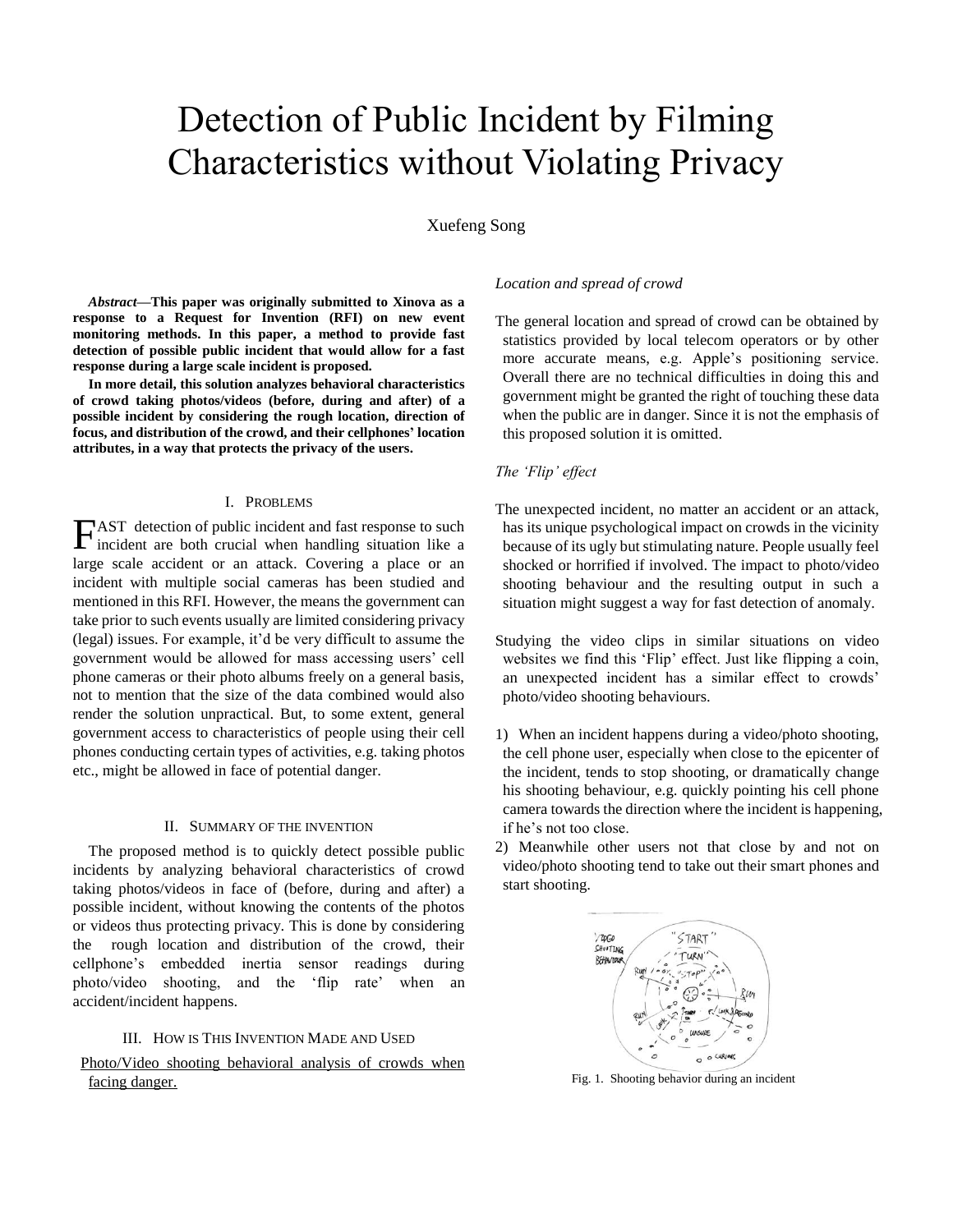# Detection of Public Incident by Filming Characteristics without Violating Privacy

Xuefeng Song

*Abstract***—This paper was originally submitted to Xinova as a response to a Request for Invention (RFI) on new event monitoring methods. In this paper, a method to provide fast detection of possible public incident that would allow for a fast response during a large scale incident is proposed.** 

**In more detail, this solution analyzes behavioral characteristics of crowd taking photos/videos (before, during and after) of a possible incident by considering the rough location, direction of focus, and distribution of the crowd, and their cellphones' location attributes, in a way that protects the privacy of the users.**

## I. PROBLEMS

AST detection of public incident and fast response to such  $\Gamma$  as a detection of public incident and fast response to such incident are both crucial when handling situation like a large scale accident or an attack. Covering a place or an incident with multiple social cameras has been studied and mentioned in this RFI. However, the means the government can take prior to such events usually are limited considering privacy (legal) issues. For example, it'd be very difficult to assume the government would be allowed for mass accessing users' cell phone cameras or their photo albums freely on a general basis, not to mention that the size of the data combined would also render the solution unpractical. But, to some extent, general government access to characteristics of people using their cell phones conducting certain types of activities, e.g. taking photos etc., might be allowed in face of potential danger.

## II. SUMMARY OF THE INVENTION

The proposed method is to quickly detect possible public incidents by analyzing behavioral characteristics of crowd taking photos/videos in face of (before, during and after) a possible incident, without knowing the contents of the photos or videos thus protecting privacy. This is done by considering the rough location and distribution of the crowd, their cellphone's embedded inertia sensor readings during photo/video shooting, and the 'flip rate' when an accident/incident happens.

## III. HOW IS THIS INVENTION MADE AND USED

Photo/Video shooting behavioral analysis of crowds when facing danger.

## *Location and spread of crowd*

The general location and spread of crowd can be obtained by statistics provided by local telecom operators or by other more accurate means, e.g. Apple's positioning service. Overall there are no technical difficulties in doing this and government might be granted the right of touching these data when the public are in danger. Since it is not the emphasis of this proposed solution it is omitted.

## *The 'Flip' effect*

The unexpected incident, no matter an accident or an attack, has its unique psychological impact on crowds in the vicinity because of its ugly but stimulating nature. People usually feel shocked or horrified if involved. The impact to photo/video shooting behaviour and the resulting output in such a situation might suggest a way for fast detection of anomaly.

Studying the video clips in similar situations on video websites we find this 'Flip' effect. Just like flipping a coin, an unexpected incident has a similar effect to crowds' photo/video shooting behaviours.

- 1) When an incident happens during a video/photo shooting, the cell phone user, especially when close to the epicenter of the incident, tends to stop shooting, or dramatically change his shooting behaviour, e.g. quickly pointing his cell phone camera towards the direction where the incident is happening, if he's not too close.
- 2) Meanwhile other users not that close by and not on video/photo shooting tend to take out their smart phones and start shooting.



Fig. 1. Shooting behavior during an incident